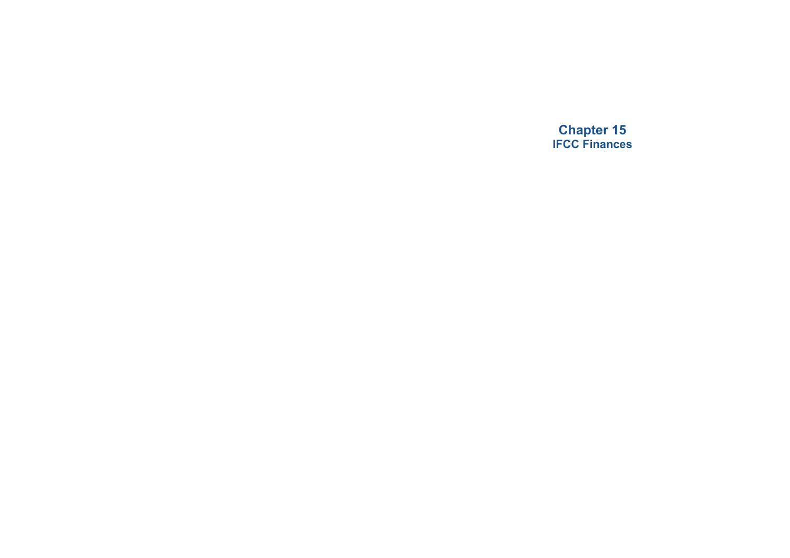**Chapter 15 IFCC Finances**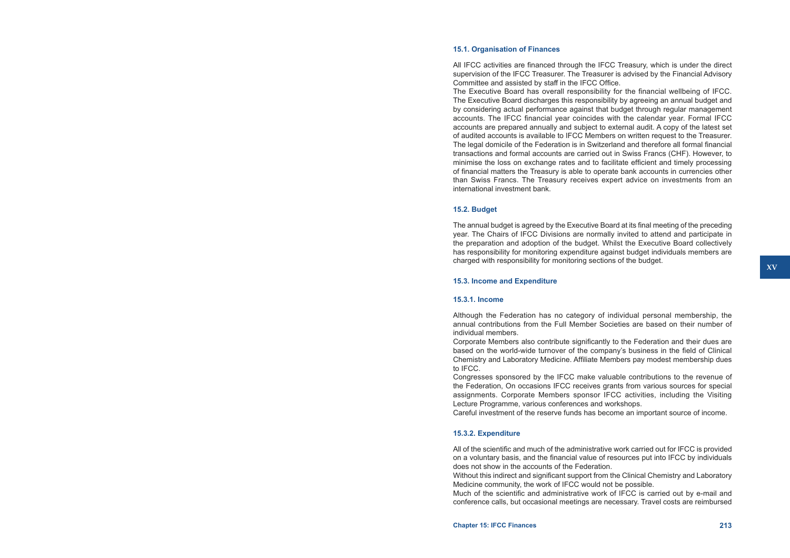## **15.1. Organisation of Finances**

All IFCC activities are financed through the IFCC Treasury, which is under the direct supervision of the IFCC Treasurer. The Treasurer is advised by the Financial Advisory Committee and assisted by staff in the IFCC Office.

The Executive Board has overall responsibility for the financial wellbeing of IFCC. The Executive Board discharges this responsibility by agreeing an annual budget and by considering actual performance against that budget through regular management accounts. The IFCC financial year coincides with the calendar year. Formal IFCC accounts are prepared annually and subject to external audit. A copy of the latest set of audited accounts is available to IFCC Members on written request to the Treasurer. The legal domicile of the Federation is in Switzerland and therefore all formal financial transactions and formal accounts are carried out in Swiss Francs (CHF). However, to minimise the loss on exchange rates and to facilitate efficient and timely processing of financial matters the Treasury is able to operate bank accounts in currencies other than Swiss Francs. The Treasury receives expert advice on investments from an international investment bank.

## **15.2. Budget**

The annual budget is agreed by the Executive Board at its final meeting of the preceding year. The Chairs of IFCC Divisions are normally invited to attend and participate in the preparation and adoption of the budget. Whilst the Executive Board collectively has responsibility for monitoring expenditure against budget individuals members are charged with responsibility for monitoring sections of the budget.

## **15.3. Income and Expenditure**

## **15.3.1. Income**

Although the Federation has no category of individual personal membership, the annual contributions from the Full Member Societies are based on their number of individual members.

Corporate Members also contribute significantly to the Federation and their dues are based on the world-wide turnover of the company's business in the field of Clinical Chemistry and Laboratory Medicine. Affiliate Members pay modest membership dues to IFCC.

Congresses sponsored by the IFCC make valuable contributions to the revenue of the Federation, On occasions IFCC receives grants from various sources for special assignments. Corporate Members sponsor IFCC activities, including the Visiting Lecture Programme, various conferences and workshops.

Careful investment of the reserve funds has become an important source of income.

# **15.3.2. Expenditure**

All of the scientific and much of the administrative work carried out for IFCC is provided on a voluntary basis, and the financial value of resources put into IFCC by individuals does not show in the accounts of the Federation.

Without this indirect and significant support from the Clinical Chemistry and Laboratory Medicine community, the work of IFCC would not be possible.

Much of the scientific and administrative work of IFCC is carried out by e-mail and conference calls, but occasional meetings are necessary. Travel costs are reimbursed